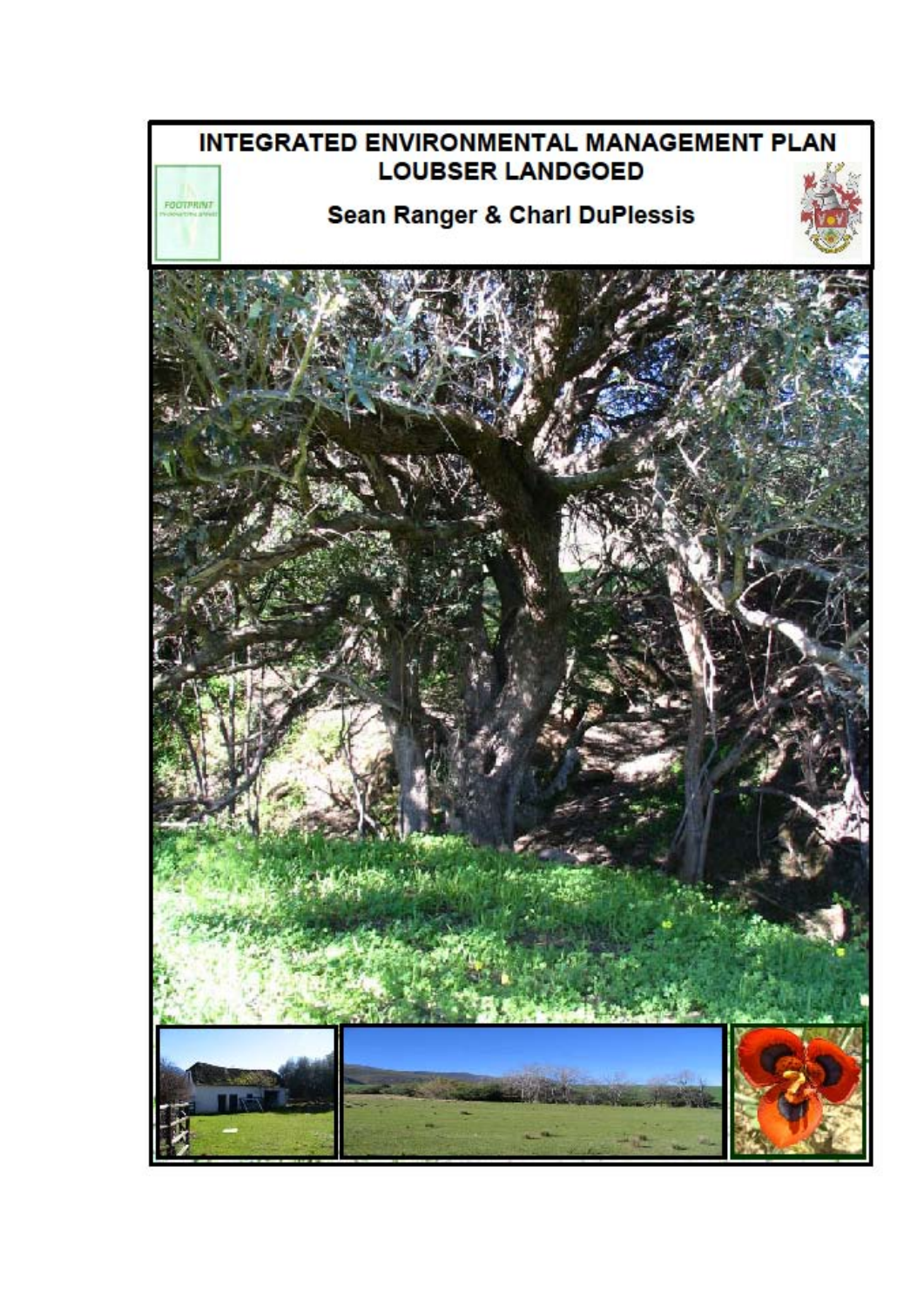